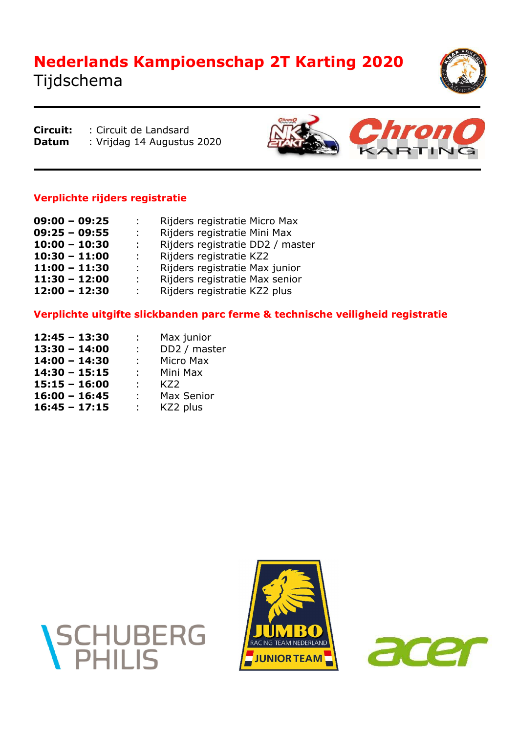# **Nederlands Kampioenschap 2T Karting 2020**

Tijdschema

j

**Circuit:** : Circuit de Landsard **Datum** : Vrijdag 14 Augustus 2020



## **Verplichte rijders registratie**

| $09:00 - 09:25$ | $\mathbb{R}^n$               | Rijders registratie Micro Max    |
|-----------------|------------------------------|----------------------------------|
| $09:25 - 09:55$ | t.                           | Rijders registratie Mini Max     |
| $10:00 - 10:30$ | $\mathcal{L}_{\mathrm{max}}$ | Rijders registratie DD2 / master |
| $10:30 - 11:00$ | t in                         | Rijders registratie KZ2          |
| $11:00 - 11:30$ | $\mathbb{R}^{\mathbb{Z}}$    | Rijders registratie Max junior   |
| $11:30 - 12:00$ | $\mathbb{R}^{\mathbb{Z}}$    | Rijders registratie Max senior   |
| $12:00 - 12:30$ | $\mathbb{R}^{\mathbb{Z}}$    | Rijders registratie KZ2 plus     |

#### **Verplichte uitgifte slickbanden parc ferme & technische veiligheid registratie**

| $12:45 - 13:30$ | $\mathcal{L}$               | Max junior   |
|-----------------|-----------------------------|--------------|
| $13:30 - 14:00$ | $\sim 100$                  | DD2 / master |
| $14:00 - 14:30$ | $\mathcal{L}^{\mathcal{L}}$ | Micro Max    |
| $14:30 - 15:15$ | $\mathbb{R}^n$              | Mini Max     |
| $15:15 - 16:00$ | ÷.                          | K72          |
| $16:00 - 16:45$ | $\mathcal{L}^{\text{max}}$  | Max Senior   |
| $16:45 - 17:15$ | t.                          | KZ2 plus     |







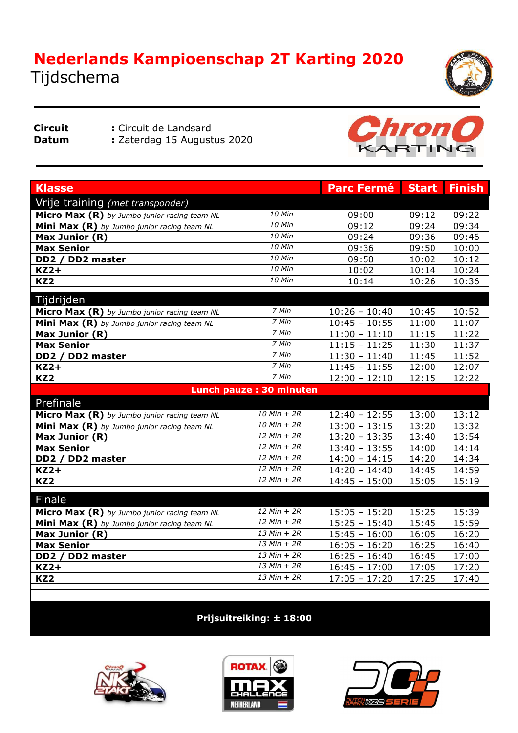

j

**Circuit :** Circuit de Landsard

**Datum : Zaterdag 15 Augustus 2020** 



| <b>Klasse</b>                                  |                                 | <b>Parc Fermé</b> | <b>Start</b> | <b>Finish</b> |
|------------------------------------------------|---------------------------------|-------------------|--------------|---------------|
| Vrije training (met transponder)               |                                 |                   |              |               |
| Micro Max (R) by Jumbo junior racing team NL   | 10 Min                          | 09:00             | 09:12        | 09:22         |
| Mini Max (R) by Jumbo junior racing team NL    | 10 Min                          | 09:12             | 09:24        | 09:34         |
| Max Junior (R)                                 | 10 Min                          | 09:24             | 09:36        | 09:46         |
| <b>Max Senior</b>                              | 10 Min                          | 09:36             | 09:50        | 10:00         |
| DD2 / DD2 master                               | 10 Min                          | 09:50             | 10:02        | 10:12         |
| $KZ2+$                                         | 10 Min                          | 10:02             | 10:14        | 10:24         |
| KZ <sub>2</sub>                                | 10 Min                          | 10:14             | 10:26        | 10:36         |
|                                                |                                 |                   |              |               |
| Tijdrijden                                     |                                 |                   |              |               |
| Micro Max $(R)$ by Jumbo junior racing team NL | 7 Min                           | $10:26 - 10:40$   | 10:45        | 10:52         |
| Mini Max (R) by Jumbo junior racing team NL    | 7 Min                           | $10:45 - 10:55$   | 11:00        | 11:07         |
| Max Junior (R)                                 | 7 Min                           | $11:00 - 11:10$   | 11:15        | 11:22         |
| <b>Max Senior</b>                              | 7 Min                           | $11:15 - 11:25$   | 11:30        | 11:37         |
| DD2 / DD2 master                               | 7 Min                           | $11:30 - 11:40$   | 11:45        | 11:52         |
| $KZ2+$                                         | 7 Min                           | $11:45 - 11:55$   | 12:00        | 12:07         |
| KZ <sub>2</sub>                                | 7 Min                           | $12:00 - 12:10$   | 12:15        | 12:22         |
|                                                | <b>Lunch pauze: 30 minuten</b>  |                   |              |               |
| Prefinale                                      |                                 |                   |              |               |
| Micro Max (R) by Jumbo junior racing team NL   | $10 Min + 2R$                   | $12:40 - 12:55$   | 13:00        | 13:12         |
| Mini Max (R) by Jumbo junior racing team NL    | $10 Min + 2R$                   | $13:00 - 13:15$   | 13:20        | 13:32         |
| Max Junior (R)                                 | $12 Min + 2R$                   | $13:20 - 13:35$   | 13:40        | 13:54         |
| <b>Max Senior</b>                              | $12 Min + 2R$                   | $13:40 - 13:55$   | 14:00        | 14:14         |
| DD2 / DD2 master                               | $12 Min + 2R$                   | $14:00 - 14:15$   | 14:20        | 14:34         |
| $KZ2+$                                         | $12 Min + 2R$                   | $14:20 - 14:40$   | 14:45        | 14:59         |
| KZ <sub>2</sub>                                | $12 Min + 2R$                   | $14:45 - 15:00$   | 15:05        | 15:19         |
| Finale                                         |                                 |                   |              |               |
| Micro Max (R) by Jumbo junior racing team NL   | $12 Min + 2R$                   | $15:05 - 15:20$   | 15:25        | 15:39         |
| Mini Max $(R)$ by Jumbo junior racing team NL  | $12 Min + 2R$                   | $15:25 - 15:40$   | 15:45        | 15:59         |
| Max Junior (R)                                 | $13 Min + 2R$                   | $15:45 - 16:00$   | 16:05        | 16:20         |
| <b>Max Senior</b>                              | $\frac{13 \text{ Min} + 2R}{ }$ | $16:05 - 16:20$   | 16:25        | 16:40         |
| DD2 / DD2 master                               | $13 Min + 2R$                   | $16:25 - 16:40$   | 16:45        | 17:00         |
| $KZ2+$                                         | $13 Min + 2R$                   | $16:45 - 17:00$   | 17:05        | 17:20         |
| KZ <sub>2</sub>                                | $13 Min + 2R$                   | $17:05 - 17:20$   | 17:25        | 17:40         |
|                                                |                                 |                   |              |               |

## **Prijsuitreiking: ± 18:00**